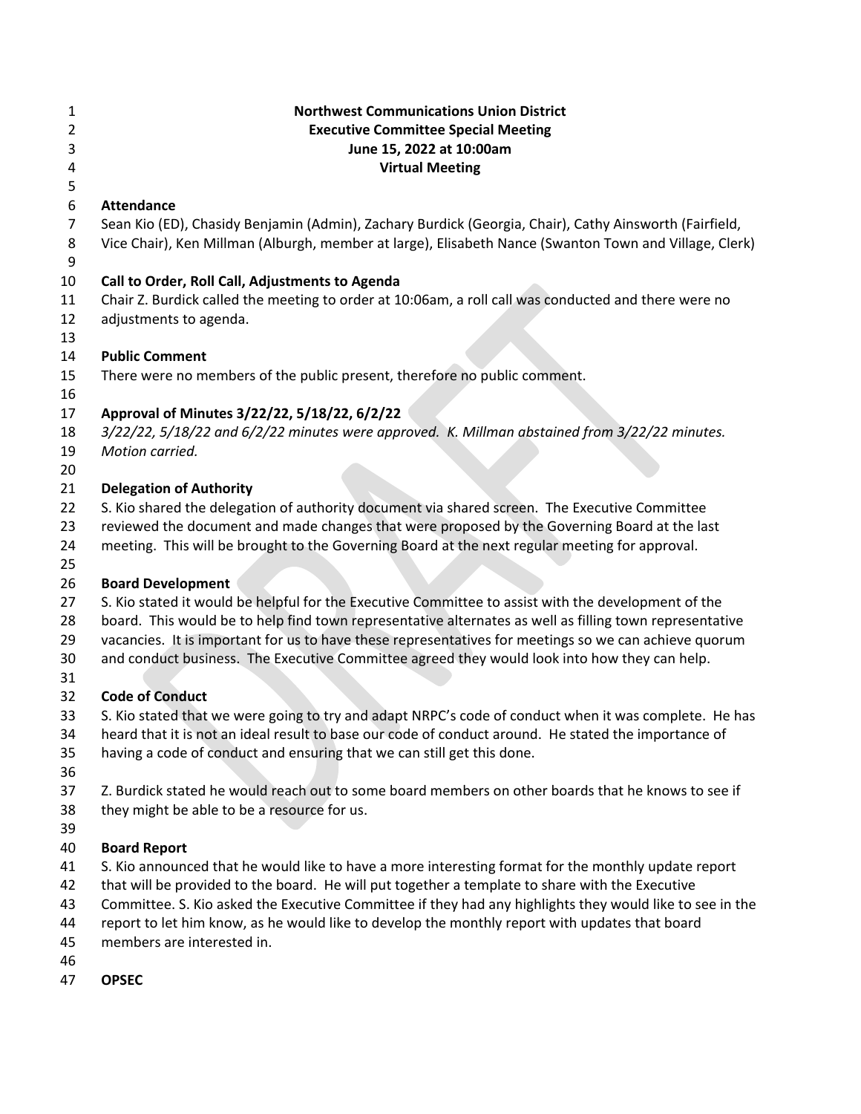| 1<br>2<br>3<br>4 | <b>Northwest Communications Union District</b><br><b>Executive Committee Special Meeting</b><br>June 15, 2022 at 10:00am<br><b>Virtual Meeting</b>                                                         |
|------------------|------------------------------------------------------------------------------------------------------------------------------------------------------------------------------------------------------------|
| 5<br>6           | <b>Attendance</b>                                                                                                                                                                                          |
| $\overline{7}$   | Sean Kio (ED), Chasidy Benjamin (Admin), Zachary Burdick (Georgia, Chair), Cathy Ainsworth (Fairfield,                                                                                                     |
| 8                | Vice Chair), Ken Millman (Alburgh, member at large), Elisabeth Nance (Swanton Town and Village, Clerk)                                                                                                     |
| 9                |                                                                                                                                                                                                            |
| 10               | Call to Order, Roll Call, Adjustments to Agenda                                                                                                                                                            |
| 11               | Chair Z. Burdick called the meeting to order at 10:06am, a roll call was conducted and there were no                                                                                                       |
| 12               | adjustments to agenda.                                                                                                                                                                                     |
| 13               |                                                                                                                                                                                                            |
| 14               | <b>Public Comment</b>                                                                                                                                                                                      |
| 15               | There were no members of the public present, therefore no public comment.                                                                                                                                  |
| 16               |                                                                                                                                                                                                            |
| 17               | Approval of Minutes 3/22/22, 5/18/22, 6/2/22                                                                                                                                                               |
| 18               | 3/22/22, 5/18/22 and 6/2/22 minutes were approved. K. Millman abstained from 3/22/22 minutes.                                                                                                              |
| 19               | Motion carried.                                                                                                                                                                                            |
| 20               |                                                                                                                                                                                                            |
| 21               | <b>Delegation of Authority</b>                                                                                                                                                                             |
| 22               | S. Kio shared the delegation of authority document via shared screen. The Executive Committee                                                                                                              |
| 23<br>24         | reviewed the document and made changes that were proposed by the Governing Board at the last<br>meeting. This will be brought to the Governing Board at the next regular meeting for approval.             |
| 25               |                                                                                                                                                                                                            |
| 26               | <b>Board Development</b>                                                                                                                                                                                   |
| 27               | S. Kio stated it would be helpful for the Executive Committee to assist with the development of the                                                                                                        |
| 28               | board. This would be to help find town representative alternates as well as filling town representative                                                                                                    |
| 29               | vacancies. It is important for us to have these representatives for meetings so we can achieve quorum                                                                                                      |
| 30               | and conduct business. The Executive Committee agreed they would look into how they can help.                                                                                                               |
| 31               |                                                                                                                                                                                                            |
| 32               | <b>Code of Conduct</b>                                                                                                                                                                                     |
| 33               | S. Kio stated that we were going to try and adapt NRPC's code of conduct when it was complete. He has                                                                                                      |
| 34               | heard that it is not an ideal result to base our code of conduct around. He stated the importance of                                                                                                       |
| 35               | having a code of conduct and ensuring that we can still get this done.                                                                                                                                     |
| 36               |                                                                                                                                                                                                            |
| 37               | Z. Burdick stated he would reach out to some board members on other boards that he knows to see if                                                                                                         |
| 38               | they might be able to be a resource for us.                                                                                                                                                                |
| 39               |                                                                                                                                                                                                            |
| 40               | <b>Board Report</b>                                                                                                                                                                                        |
| 41               | S. Kio announced that he would like to have a more interesting format for the monthly update report                                                                                                        |
| 42               | that will be provided to the board. He will put together a template to share with the Executive                                                                                                            |
| 43<br>44         | Committee. S. Kio asked the Executive Committee if they had any highlights they would like to see in the<br>report to let him know, as he would like to develop the monthly report with updates that board |
| 45               | members are interested in.                                                                                                                                                                                 |
|                  |                                                                                                                                                                                                            |

- 
- 46<br>47 **OPSEC**